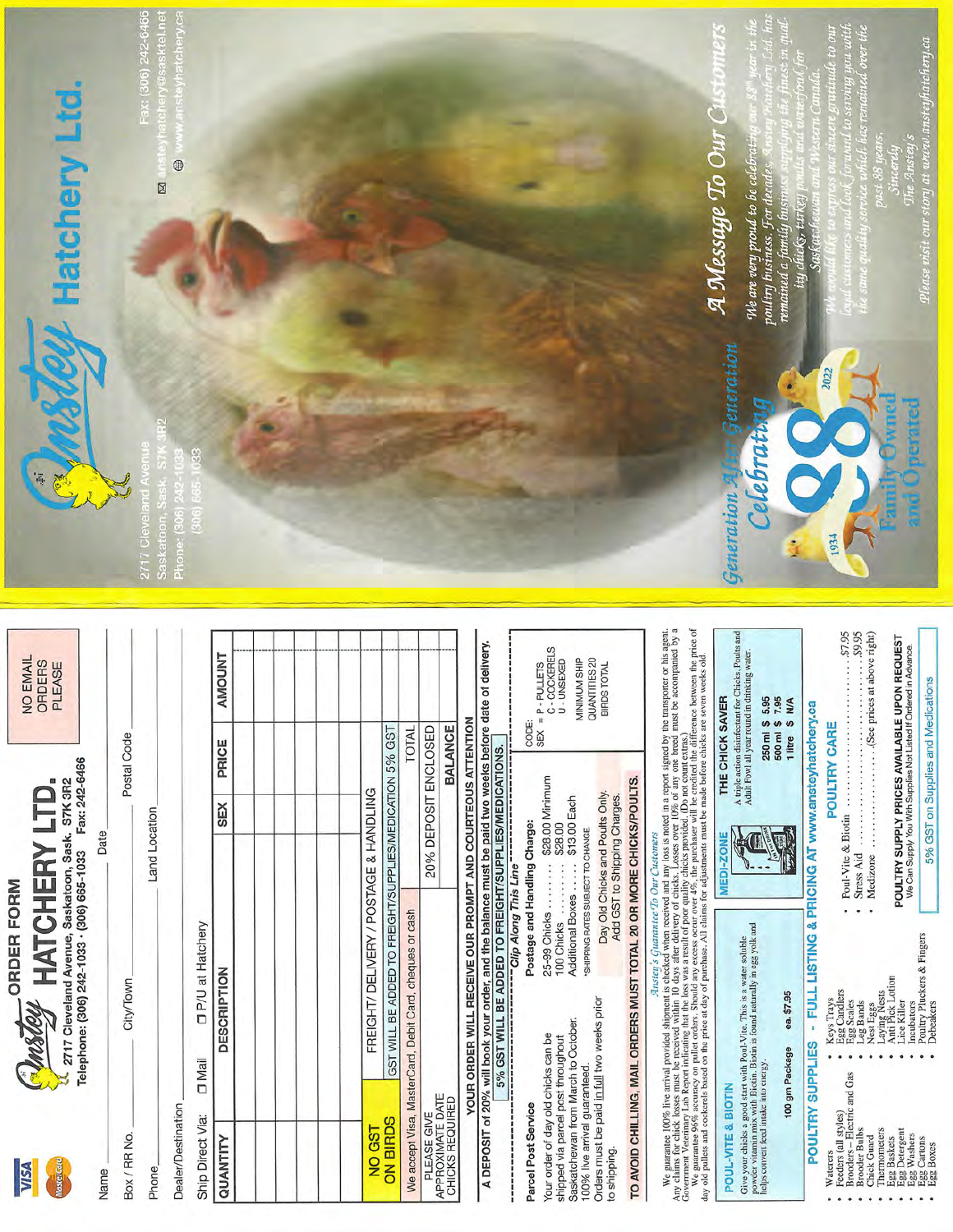

Name



NO EMAIL<br>ORDERS

PLEASE

Date Postal Code Land Location City/Town Box / RR No. Phone

DP/U at Hatchery  $\Box$  Mail Ship Direct Via:

Dealer/Destination

| QUANTITY                            | <b>DESCRIPTION</b>                                      | SEX <sub>1</sub>     | PRICE          | <b>AMOUNT</b> |  |
|-------------------------------------|---------------------------------------------------------|----------------------|----------------|---------------|--|
|                                     |                                                         |                      |                |               |  |
|                                     |                                                         |                      |                |               |  |
|                                     |                                                         |                      |                |               |  |
|                                     |                                                         |                      |                |               |  |
|                                     |                                                         |                      |                |               |  |
|                                     |                                                         |                      |                |               |  |
| NO GST                              | FREIGHT/ DELIVERY / POSTAGE & HANDLING                  |                      |                |               |  |
| <b>ON BIRDS</b>                     | GST WILL BE ADDED TO FREIGHT/SUPPLIES/MEDICATION 5% GST |                      |                |               |  |
|                                     | We accept Visa, MasterCard, Debit Card, cheques or cash |                      | TOTAL          |               |  |
| PLEASE GIVE                         |                                                         | 20% DEPOSIT ENCLOSED |                |               |  |
| APPROXIMATE DATE<br>CHICKS REQUIRED |                                                         |                      | <b>BALANCE</b> |               |  |
|                                     |                                                         |                      |                |               |  |

YOUR ORDER WILL RECEIVE OUR PROMPT AND COURTEOUS ATTENTION

A DEPOSIT of 20% will book your order, and the balance must be paid two weeks before date of delivery.<br>A DEPOSIT of 20% will book your order, and the balance must be paid two weeks before date of delivery. Parcel Post Se

|                            | CODE:                        | C-COCKERELS<br>$SEX = P - PULLETS$  | J-UNSEXED                          |                                     | MINIMUM SHIP<br>QUANTITIES 20     | BIRDS TOTAL                                                     |
|----------------------------|------------------------------|-------------------------------------|------------------------------------|-------------------------------------|-----------------------------------|-----------------------------------------------------------------|
| alline clinding the direct | Postage and Handling Charge: | 25-99 Chicks  \$28.00 Minimum       | 328.00<br>100 Chicks               | Additional Boxes  \$13.00 Each      | SHIPPING RATES SUBJECT TO CHANGE. | Day Old Chicks and Poults Only.<br>Add GST to Shipping Charges. |
|                            | Parcel Post Service          | Your order of day old chicks can be | shipped via parcel post throughout | Saskatchewan from March to October. | 100% live arrival guaranteed.     | Orders must be paid in full two weeks prior<br>to shipping.     |

TO AVOID CHILLING, MAIL ORDERS MUST TOTAL 20 OR MORE CHICKS/POULTS.

We guarantee 100% live arrival provided shipman is checked when received and loss is very loss and in a report signed by the transporter or his agent.<br>
So the contract contract loss with the mexical within it is checked w

|                                                                                                                                                                                                                                                                                                                                                                                                                                                                                                                                                                                                                                                                      | A triple action disinfectant for Chicks, Poults and<br>Adult Fowl all year round in drinking water<br>250 ml \$ 5.95<br>THE CHICK SAVER<br>500 ml \$7.95<br>1 litre S N/A<br><b>TAR</b><br><b>MEDI-ZONE</b>                                                   | .50,8.<br>\$9.95<br>$\dots\dots\dots$ (See prices at above right)<br>POULTRY SUPPLY PRICES AVAILABLE UPON REQUEST<br>We Can Supply You With Supplies Not Listed If Ordered in Advance.<br>5% GST on Supplies and Medications<br><b>POULTRY CARE</b><br>Poul-Vite & Biotin<br>Medizone<br>Stress Aid                                                                                                                                                |  |
|----------------------------------------------------------------------------------------------------------------------------------------------------------------------------------------------------------------------------------------------------------------------------------------------------------------------------------------------------------------------------------------------------------------------------------------------------------------------------------------------------------------------------------------------------------------------------------------------------------------------------------------------------------------------|---------------------------------------------------------------------------------------------------------------------------------------------------------------------------------------------------------------------------------------------------------------|----------------------------------------------------------------------------------------------------------------------------------------------------------------------------------------------------------------------------------------------------------------------------------------------------------------------------------------------------------------------------------------------------------------------------------------------------|--|
| ATIV CITIES TOT CHICK IOSSES ITIDS. LEVEL IN WHICH IS NOT WE ARREST TO MEET TO MEET TO MEET TO MEET TO MEET TO MEET TO MEET TO MEET TO MEET TO MEET TO MEET TO MEET TO MEET TO MEET TO MEET TO MEET TO MEET TO MEET TO MEET TO<br>We guarantee 96% accuracy on pullet orders. Should any excess occur over 4%, the purchaser will be credited the difference between the price of<br>day old pullets and cockerels based on the price at day of purchase. All claims for adjustments must be made before chicks are seven weeks old<br>Government Veterinary Lab Report indicating that the loss was a result of poor quality chicks provided. (Do not count extras- | powder vitamin mix with Biotin. Biotin is found naturally in egg yolk and<br>Give your chicks a good start with Poul-Vite. This is a water soluble<br>ea. \$7.95<br>100 gm Package<br>helps convert feed intake into energy.<br><b>POUL-VITE &amp; BIOTIN</b> | POULTRY SUPPLIES - FULL LISTING & PRICING AT www.anstevhatchery.ca<br>Poultry Pluckers & Fingers<br>Anti Pick Lotion<br>Egg Candlers<br>Laying Nests<br>Keys Trays<br>Egg Scales<br>Leg Bands<br>Lice Killer<br>Nest Eggs<br>Incubators<br>Debeakers<br>Brooders - Electric and Gas<br>Feeders (all styles)<br>Thermometers<br>Brooder Bulbs<br>Egg Detergent<br>Egg Washers<br>Chick Guard<br>Egg Cartons<br>Egg Baskets<br>Egg Boxes<br>Waterers |  |



**Saskato** 

ktel.ne tchery.ca  $^{\circ}$ Ø

A Message To Our Cu We are very proud to be co Generation

Clebrati

Generation »

STOTILIS

poultry business. For<br>remained a family bus ity ch д нои шин

2022

Please visit our story at www.ansteyhatchery.ca The Anstey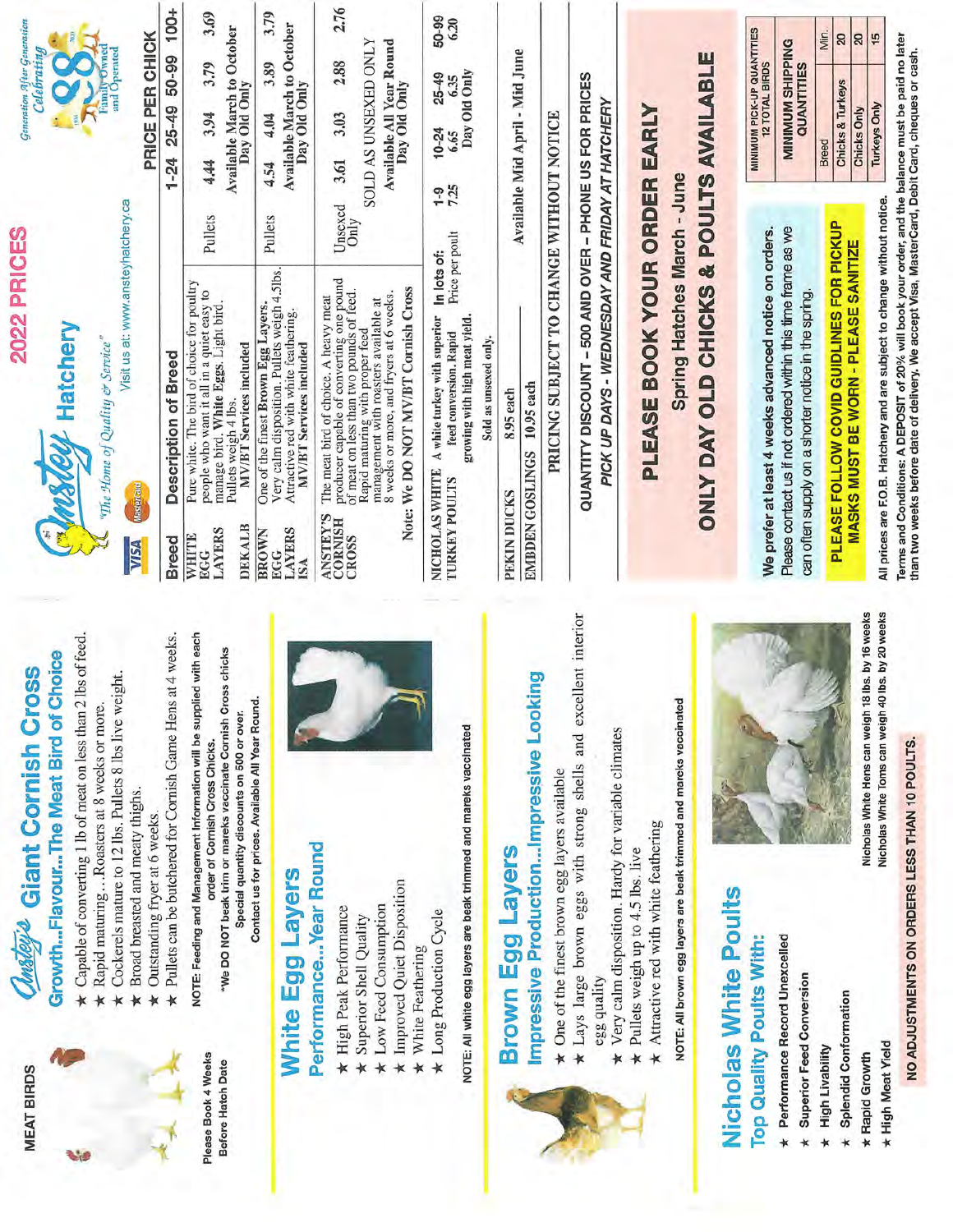|                                                                                                          | <b>Ansteria</b> Giant Cornish Cross                                                                                                                                                                                     | <b>2022 PRICES</b>                                                                                                                                                                                                                                                                                                                               |                 |                                                                                  | Generation After Generation    |               |
|----------------------------------------------------------------------------------------------------------|-------------------------------------------------------------------------------------------------------------------------------------------------------------------------------------------------------------------------|--------------------------------------------------------------------------------------------------------------------------------------------------------------------------------------------------------------------------------------------------------------------------------------------------------------------------------------------------|-----------------|----------------------------------------------------------------------------------|--------------------------------|---------------|
|                                                                                                          | GrowthFlavourThe Meat Bird of Choice                                                                                                                                                                                    | <b>CANSTRY</b> Hatchery                                                                                                                                                                                                                                                                                                                          |                 |                                                                                  | Celebrating                    |               |
|                                                                                                          | Capable of converting 1 lb of meat on less than 2 lbs of feed.<br>Rapid maturing  Roasters at 8 weeks or more.                                                                                                          | "The Home of Quality & Service"                                                                                                                                                                                                                                                                                                                  |                 | EF                                                                               |                                |               |
| Broad breasted and meaty thighs.                                                                         | Cockerels mature to 12 lbs. Pullets 8 lbs live weight.                                                                                                                                                                  | Visit us at: www.ansteyhatchery.ca<br><b>MasterCard</b><br><b>NSA</b>                                                                                                                                                                                                                                                                            |                 | PRICE PER CHICK                                                                  | Family Owned<br>and Operated   |               |
| Outstanding fryer at 6 weeks.                                                                            | Pullets can be butchered for Cornish Game Hens at 4 weeks.                                                                                                                                                              | Description of Breed<br><b>Breed</b>                                                                                                                                                                                                                                                                                                             |                 | 1-24 25-49 50-99 100+                                                            |                                |               |
|                                                                                                          | VOTE: Feeding and Management Information will be supplied with each<br>chicks<br>*We DO NOT beak trim or mareks vaccinate Cornish Cross<br>Special quantity discounts on 500 or over.<br>order of Cornish Cross Chicks. | Pure white. The bird of choice for poultry<br>people who want it all in a quiet easy to<br>manage bird. White Eggs. Light bird.<br>Pullets weigh 4 lbs.<br>MV/BT Services included<br>DEKALB<br><b>LAYERS</b><br>WHITE<br>EGG                                                                                                                    | Pullets         | Available March to October<br>Day Old Only<br>3.94<br>4.44                       | 3.79                           | 3.69          |
| Egg Layers                                                                                               | Contact us for prices. Available All Year Round.                                                                                                                                                                        | Very calm disposition. Pullets weigh 4.5lbs.<br>One of the finest Brown Egg Layers.<br>Attractive red with white feathering.<br><b>MV/BT</b> Services included<br><b>LAYERS</b><br><b>BROWN</b><br><b>EGG</b><br>ISA                                                                                                                             | Pullets         | Available March to October<br>Day Old Only<br>4.04<br>4.54                       | 3.89                           | 3.79          |
| anceYear Round<br>ed Quiet Disposition<br>ed Consumption<br>ak Performance<br>Shell Quality<br>eathering |                                                                                                                                                                                                                         | producer capable of converting one pound<br>Note: We DO NOT MV/BT Cornish Cross<br>of meat on less than two pounds of feed.<br>8 weeks or more, and fryers at 6 weeks.<br>The meat bird of choice. A heavy meat<br>management with roasters available at<br>Rapid maturing with proper feed<br><b>ANSTEY'S</b><br><b>CORNISH</b><br><b>CROSS</b> | Unsexed<br>Only | SOLD AS UNSEXED ONLY<br>Available All Year Round<br>Day Old Only<br>3.03<br>3.61 | 2.88                           | 2.76          |
| egg layers are beak trimmed and mareks vaccinated<br>oduction Cycle                                      |                                                                                                                                                                                                                         | Price per poult<br>In lots of:<br>A white turkey with superior<br>growing with high meat yield.<br>feed conversion. Rapid<br>Sold as unsexed only.<br>NICHOLAS WHITE<br><b>TURKEY POULTS</b>                                                                                                                                                     | 7.25            | $10 - 24$<br>6.65                                                                | Day Old Only<br>25-49<br>6.35  | 50-99<br>6.20 |
| Egg Layers                                                                                               | sive ProductionImpressive Looking                                                                                                                                                                                       | EMBDEN GOSLINGS 10.95 each<br>8.95 each<br>PEKIN DUCKS                                                                                                                                                                                                                                                                                           |                 | Available Mid April - Mid June                                                   |                                |               |
| the finest brown egg layers available                                                                    |                                                                                                                                                                                                                         | PRICING SUBJECT TO CHANGE WITHOUT NOTICE                                                                                                                                                                                                                                                                                                         |                 |                                                                                  |                                |               |
| alm disposition. Hardy for variable climates<br>ality                                                    | arge brown eggs with strong shells and excellent interior                                                                                                                                                               | QUANTITY DISCOUNT - 500 AND OVER - PHONE US FOR PRICES<br>PICK UP DAYS - WEDNESDAY AND FRIDAY AT HATCHERY                                                                                                                                                                                                                                        |                 |                                                                                  |                                |               |
| tive red with white feathering<br>weigh up to 4.5 lbs. live                                              |                                                                                                                                                                                                                         | PLEASE BOOK YOUR ORDER EARLY                                                                                                                                                                                                                                                                                                                     |                 |                                                                                  |                                |               |
|                                                                                                          | prown egg layers are beak trimmed and mareks vaccinated                                                                                                                                                                 | Spring Hatches March - June                                                                                                                                                                                                                                                                                                                      |                 |                                                                                  |                                |               |
| <b>hite Poults</b>                                                                                       |                                                                                                                                                                                                                         | ONLY DAY OLD CHICKS & POULTS AVAILABLE                                                                                                                                                                                                                                                                                                           |                 |                                                                                  |                                |               |
| Unexcelled<br>ts With:                                                                                   |                                                                                                                                                                                                                         | We prefer at least 4 weeks advanced notice on orders.                                                                                                                                                                                                                                                                                            |                 | <b>MINIMUM PICK-UP QUANTITIES</b><br>12 TOTAL BIRDS                              |                                |               |
| noisue                                                                                                   |                                                                                                                                                                                                                         | Please contact us if not ordered within this time frame as we<br>can often supply on a shorter notice in the spring.                                                                                                                                                                                                                             |                 |                                                                                  | MINIMUM SHIPPING<br>QUANTITIES |               |
| 6                                                                                                        |                                                                                                                                                                                                                         | PLEASE FOLLOW COVID GUIDLINES FOR PICKUP<br>MASKS MUST BE WORN - PLEASE SANITIZE                                                                                                                                                                                                                                                                 |                 | <b>Chicks &amp; Turkeys</b><br>Breed                                             |                                | Min.<br>20    |
|                                                                                                          | Nicholas White Toms can weigh 40 lbs. by 20 weeks<br>Nicholas White Hens can weigh 18 lbs. by 16 weeks                                                                                                                  | All prices are F.O.B. Hatchery and are subject to change without notice.                                                                                                                                                                                                                                                                         |                 | <b>Turkeys Only</b><br>Chicks Only                                               |                                | 20<br>15      |
| <b><i>MENTS ON ORDERS LESS THAN 10 POULTS</i></b>                                                        |                                                                                                                                                                                                                         | Terms and Conditions: A DEPOSIT of 20% will book your order, and the balance must be paid no later<br>than two weeks before date of delivery. We accept Visa, MasterCard, Debit Card, cheques or cash.                                                                                                                                           |                 |                                                                                  |                                |               |

## NO ADJUSTMENTS ON ORDERS LESS THAN 10

- **\*** Performance Record Unexcelled
	- **Superior Feed Conversion**
- **High Livability**
- **Splendid Conformation** 
	- \* High Meat Yield \* Rapid Growth

### Performance...Year Round **White Egg Layers**

**MEAT BIRDS** 

Please Book 4 Weeks Before Hatch Date

- \* High Peak Performance
	- \* Superior Shell Quality
- \* Low Feed Consumption
- **\*** Improved Quiet Disposition
	- $\star$  White Feathering
- \* Long Production Cycle

NOTE: All white egg layers are beak trimmed and mare



### **Brown Egg Layers**

# Impressive Production...Impre

- One of the finest brown egg layers avai  $\star$
- \* Lays large brown eggs with strong s
	- egg quality
- \* Very calm disposition. Hardy for variable
	- ★ Pullets weigh up to 4.5 lbs. live
		- \* Attractive red with white feathering

NOTE: All brown egg layers are beak trimmed and